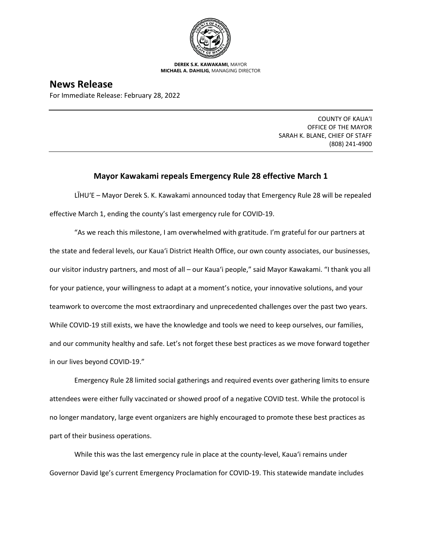

**DEREK S.K. KAWAKAMI,** MAYOR **MICHAEL A. DAHILIG,** MANAGING DIRECTOR

## **News Release**

For Immediate Release: February 28, 2022

COUNTY OF KAUA'I OFFICE OF THE MAYOR SARAH K. BLANE, CHIEF OF STAFF (808) 241-4900

## **Mayor Kawakami repeals Emergency Rule 28 effective March 1**

LĪHUʻE – Mayor Derek S. K. Kawakami announced today that Emergency Rule 28 will be repealed effective March 1, ending the county's last emergency rule for COVID-19.

"As we reach this milestone, I am overwhelmed with gratitude. I'm grateful for our partners at the state and federal levels, our Kaua'i District Health Office, our own county associates, our businesses, our visitor industry partners, and most of all – our Kaua'i people," said Mayor Kawakami. "I thank you all for your patience, your willingness to adapt at a moment's notice, your innovative solutions, and your teamwork to overcome the most extraordinary and unprecedented challenges over the past two years. While COVID-19 still exists, we have the knowledge and tools we need to keep ourselves, our families, and our community healthy and safe. Let's not forget these best practices as we move forward together in our lives beyond COVID-19."

Emergency Rule 28 limited social gatherings and required events over gathering limits to ensure attendees were either fully vaccinated or showed proof of a negative COVID test. While the protocol is no longer mandatory, large event organizers are highly encouraged to promote these best practices as part of their business operations.

While this was the last emergency rule in place at the county-level, Kaua'i remains under Governor David Ige's current Emergency Proclamation for COVID-19. This statewide mandate includes